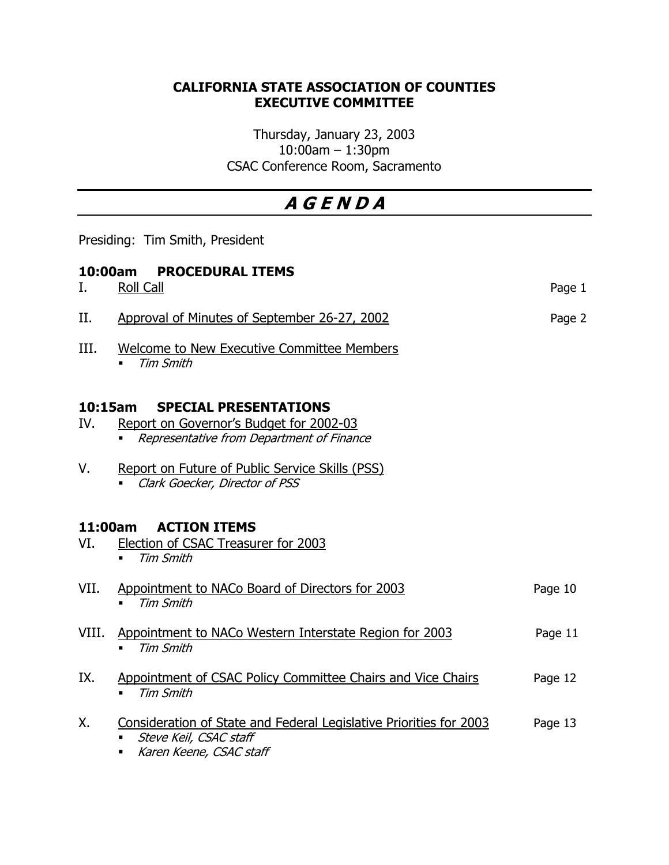## CALIFORNIA STATE ASSOCIATION OF COUNTIES EXECUTIVE COMMITTEE

Thursday, January 23, 2003  $10:00$ am – 1:30pm CSAC Conference Room, Sacramento

## A G E N D A

Presiding: Tim Smith, President

| <b>PROCEDURAL ITEMS</b><br>10:00am      |                                                                       |         |  |  |
|-----------------------------------------|-----------------------------------------------------------------------|---------|--|--|
| Ι.                                      | <b>Roll Call</b>                                                      | Page 1  |  |  |
| П.                                      | Approval of Minutes of September 26-27, 2002                          | Page 2  |  |  |
| III.                                    | <b>Welcome to New Executive Committee Members</b><br><b>Tim Smith</b> |         |  |  |
| <b>SPECIAL PRESENTATIONS</b><br>10:15am |                                                                       |         |  |  |
| IV.                                     | Report on Governor's Budget for 2002-03                               |         |  |  |
|                                         | Representative from Department of Finance<br>٠                        |         |  |  |
| V.                                      | <b>Report on Future of Public Service Skills (PSS)</b>                |         |  |  |
|                                         | Clark Goecker, Director of PSS                                        |         |  |  |
|                                         |                                                                       |         |  |  |
| <b>ACTION ITEMS</b><br>11:00am          |                                                                       |         |  |  |
| VI.                                     | Election of CSAC Treasurer for 2003                                   |         |  |  |
|                                         | <b>Tim Smith</b><br>$\blacksquare$                                    |         |  |  |
| VII.                                    | Appointment to NACo Board of Directors for 2003                       | Page 10 |  |  |
|                                         | <b>Tim Smith</b><br>$\blacksquare$                                    |         |  |  |
| VIII.                                   | Appointment to NACo Western Interstate Region for 2003                | Page 11 |  |  |
|                                         | <b>Tim Smith</b><br>$\blacksquare$                                    |         |  |  |
| IX.                                     | Appointment of CSAC Policy Committee Chairs and Vice Chairs           | Page 12 |  |  |
|                                         | <b>Tim Smith</b>                                                      |         |  |  |
| Χ.                                      | Consideration of State and Federal Legislative Priorities for 2003    | Page 13 |  |  |
|                                         | Steve Keil, CSAC staff                                                |         |  |  |
|                                         | Karen Keene, CSAC staff                                               |         |  |  |